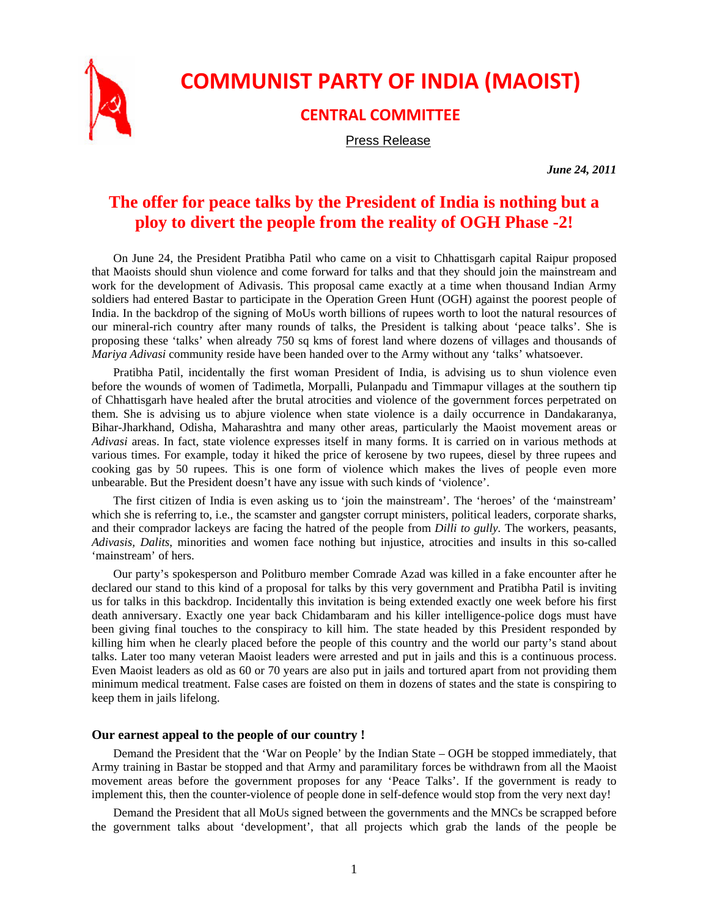

## **COMMUNIST PARTY OF INDIA (MAOIST)**

## **CENTRAL COMMITTEE**

Press Release

*June 24, 2011* 

## **The offer for peace talks by the President of India is nothing but a ploy to divert the people from the reality of OGH Phase -2!**

On June 24, the President Pratibha Patil who came on a visit to Chhattisgarh capital Raipur proposed that Maoists should shun violence and come forward for talks and that they should join the mainstream and work for the development of Adivasis. This proposal came exactly at a time when thousand Indian Army soldiers had entered Bastar to participate in the Operation Green Hunt (OGH) against the poorest people of India. In the backdrop of the signing of MoUs worth billions of rupees worth to loot the natural resources of our mineral-rich country after many rounds of talks, the President is talking about 'peace talks'. She is proposing these 'talks' when already 750 sq kms of forest land where dozens of villages and thousands of *Mariya Adivasi* community reside have been handed over to the Army without any 'talks' whatsoever.

Pratibha Patil, incidentally the first woman President of India, is advising us to shun violence even before the wounds of women of Tadimetla, Morpalli, Pulanpadu and Timmapur villages at the southern tip of Chhattisgarh have healed after the brutal atrocities and violence of the government forces perpetrated on them. She is advising us to abjure violence when state violence is a daily occurrence in Dandakaranya, Bihar-Jharkhand, Odisha, Maharashtra and many other areas, particularly the Maoist movement areas or *Adivasi* areas. In fact, state violence expresses itself in many forms. It is carried on in various methods at various times. For example, today it hiked the price of kerosene by two rupees, diesel by three rupees and cooking gas by 50 rupees. This is one form of violence which makes the lives of people even more unbearable. But the President doesn't have any issue with such kinds of 'violence'.

The first citizen of India is even asking us to 'join the mainstream'. The 'heroes' of the 'mainstream' which she is referring to, i.e., the scamster and gangster corrupt ministers, political leaders, corporate sharks, and their comprador lackeys are facing the hatred of the people from *Dilli to gully.* The workers, peasants, *Adivasis, Dalits*, minorities and women face nothing but injustice, atrocities and insults in this so-called 'mainstream' of hers.

Our party's spokesperson and Politburo member Comrade Azad was killed in a fake encounter after he declared our stand to this kind of a proposal for talks by this very government and Pratibha Patil is inviting us for talks in this backdrop. Incidentally this invitation is being extended exactly one week before his first death anniversary. Exactly one year back Chidambaram and his killer intelligence-police dogs must have been giving final touches to the conspiracy to kill him. The state headed by this President responded by killing him when he clearly placed before the people of this country and the world our party's stand about talks. Later too many veteran Maoist leaders were arrested and put in jails and this is a continuous process. Even Maoist leaders as old as 60 or 70 years are also put in jails and tortured apart from not providing them minimum medical treatment. False cases are foisted on them in dozens of states and the state is conspiring to keep them in jails lifelong.

## **Our earnest appeal to the people of our country !**

Demand the President that the 'War on People' by the Indian State – OGH be stopped immediately, that Army training in Bastar be stopped and that Army and paramilitary forces be withdrawn from all the Maoist movement areas before the government proposes for any 'Peace Talks'. If the government is ready to implement this, then the counter-violence of people done in self-defence would stop from the very next day!

Demand the President that all MoUs signed between the governments and the MNCs be scrapped before the government talks about 'development', that all projects which grab the lands of the people be